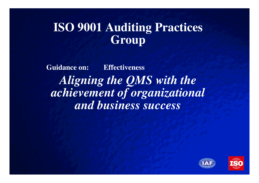### **ISO 9001 Auditing Practices Group**

**Guidance on: Effectiveness***Aligning the QMS with the achievement of organizational and business success*



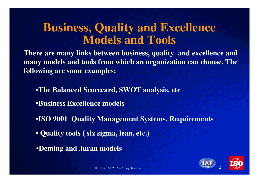#### **Business, Quality and Excellence Models and Tools**

**There are many links between business, quality and excellence and many models and tools from which an organization can choose. Thefollowing are some examples:**

•**The Balanced Scorecard, SWOT analysis, etc**•**Business Excellence models**

•**ISO 9001 Quality Management Systems. Requirements**

• **Quality tools ( six sigma, lean, etc.)**

•**Deming and Juran models**



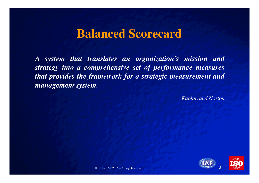#### **Balanced Scorecard**

*A system that translates an organization's mission and strategy into <sup>a</sup> comprehensive set of performance measures that provides the framework for <sup>a</sup> strategic measurement andmanagement system.*

*Kaplan and Norton*

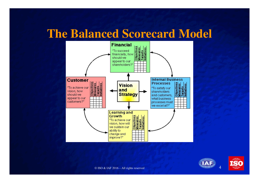#### **The Balanced Scorecard Model**





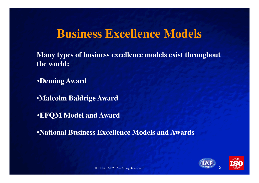#### **Business Excellence Models**

**Many types of business excellence models exist throughout the world:**

•**Deming Award**

•**Malcolm Baldrige Award**

•**EFQM Model and Award**

•**National Business Excellence Models and Awards**

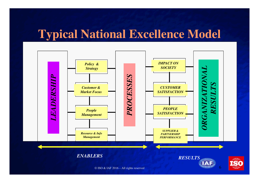### **Typical National Excellence Model**

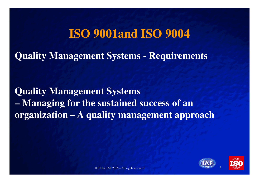#### **ISO 9001and ISO 9004**

**Quality Management Systems - Requirements** 

**Quality Management Systems – Managing for the sustained success of an organization – A quality management approach**

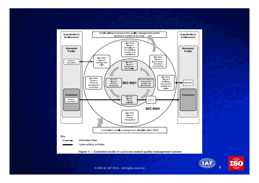



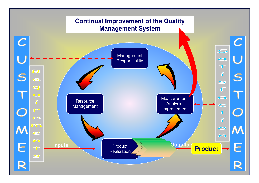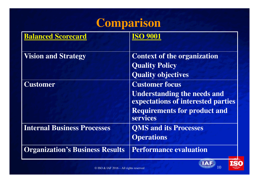# **Comparison**

| <b>Balanced Scorecard</b>              |                                                                          |
|----------------------------------------|--------------------------------------------------------------------------|
| <b>Vision and Strategy</b>             | <b>Context of the organization</b>                                       |
|                                        | <b>Quality Policy</b>                                                    |
|                                        | <b>Quality objectives</b>                                                |
| <b>Customer</b>                        | <b>Customer focus</b>                                                    |
|                                        | <b>Understanding the needs and</b><br>expectations of interested parties |
|                                        | <b>Requirements for product and</b><br>services                          |
| <b>Internal Business Processes</b>     | <b>OMS and its Processes</b>                                             |
|                                        | <b>Operations</b>                                                        |
| <b>Organization's Business Results</b> | <b>Performance evaluation</b>                                            |

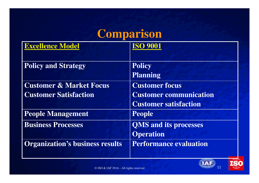## **Comparison**

| <b>Excellence Model</b>                | <b>ISO 9001</b>               |
|----------------------------------------|-------------------------------|
| <b>Policy and Strategy</b>             | <b>Policy</b>                 |
|                                        | <b>Planning</b>               |
| <b>Customer &amp; Market Focus</b>     | <b>Customer focus</b>         |
| <b>Customer Satisfaction</b>           | <b>Customer communication</b> |
|                                        | <b>Customer satisfaction</b>  |
| <b>People Management</b>               | <b>People</b>                 |
| <b>Business Processes</b>              | <b>QMS</b> and its processes  |
|                                        | <b>Operation</b>              |
| <b>Organization's business results</b> | <b>Performance evaluation</b> |



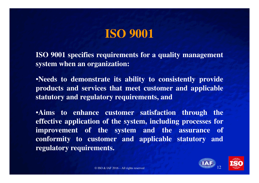## **ISO 9001**

**ISO 9001 specifies requirements for <sup>a</sup> quality managementsystem when an organization:**

•**Needs to demonstrate its ability to consistently provide products and services that meet customer and applicablestatutory and regulatory requirements, and**

•**Aims to enhance customer satisfaction through the effective application of the system, including processes for improvement of the system and the assurance ofconformity to customer and applicable statutory andregulatory requirements.**



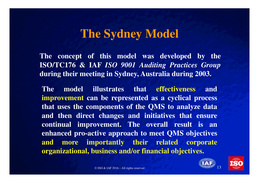#### **The Sydney Model**

**The concept of this model was developed by the ISO/TC176 & IAF** *ISO <sup>9001</sup> Auditing Practices Group* **during their meeting in Sydney, Australia during 2003.**

**The model illustrates that effectiveness and improvement can be represented as <sup>a</sup> cyclical process that uses the components of the QMS to analyze data and then direct changes and initiatives that ensure continual improvement. The overall result is an enhanced pro-active approach to meet QMS objectivesand more importantly their related corporateorganizational, business and/or financial objectives.**

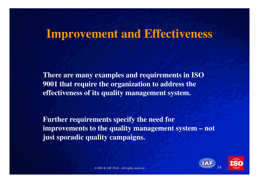#### **Improvement and Effectiveness**

**There are many examples and requirements in ISO 9001 that require the organization to address the effectiveness of its quality management system.**

**Further requirements specify the need for improvements to the quality management system – not just sporadic quality campaigns.**



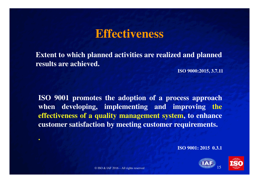#### **Effectiveness**

**Extent to which planned activities are realized and planned results are achieved.**

**ISO 9000:2015, 3.7.11**

**ISO 9001 promotes the adoption of <sup>a</sup> process approach when developing, implementing and improving the effectiveness of <sup>a</sup> quality management system, to enhancecustomer satisfaction by meeting customer requirements.**

**ISO 9001: 2015 0.3.1**





**.**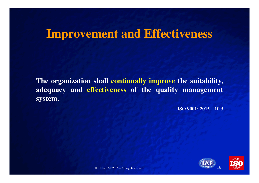#### **Improvement and Effectiveness**

**The organization shall continually improve the suitability, adequacy and effectiveness of the quality management system.**

**ISO 9001: 2015 10.3**

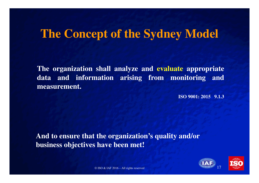#### **The Concept of the Sydney Model**

**The organization shall analyze and evaluate appropriate data and information arising from monitoring andmeasurement.**

**ISO 9001: 2015 9.1.3**

**And to ensure that the organization's quality and/or business objectives have been met!** 



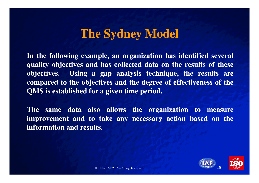#### **The Sydney Model**

**In the following example, an organization has identified severalquality objectives and has collected data on the results of these objectives. Using <sup>a</sup> gap analysis technique, the results are compared to the objectives and the degree of effectiveness of theQMS is established for <sup>a</sup> given time period.**

**The same data also allows the organization to measure improvement and to take any necessary action based on theinformation and results.**



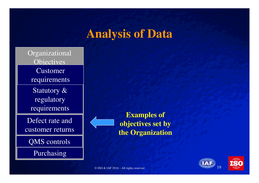#### **Analysis of Data**

Organizational**Objectives**  Customer requirementsStatutory & regulatory requirements

Defect rate and customer returns

QMS controls

Purchasing

**Examples of objectives set by the Organization**



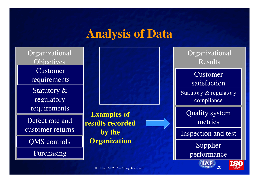#### **Analysis of Data**

Organizational**Objectives** Customer requirementsStatutory & regulatory requirements

Defect rate and customer returns

QMS controls

Purchasing

**Examples of results recorded by the Organization**

OrganizationalResults

Customer satisfactionStatutory & regulatory compliance

Quality system metrics

Inspection and test

Supplier performance

**ISO**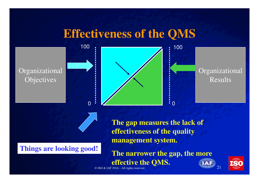#### **Effectiveness of the QMS**

OrganizationalObjectives



OrganizationalResults

**Things are looking good!**

**The gap measures the lack of effectiveness of the quality management system.**

d and  $\frac{1}{2}$   $\frac{1}{2}$   $\frac{1}{2}$   $\frac{1}{2}$   $\frac{1}{2}$   $\frac{1}{2}$   $\frac{1}{2}$   $\frac{1}{2}$   $\frac{1}{2}$   $\frac{1}{2}$   $\frac{1}{2}$   $\frac{1}{2}$   $\frac{1}{2}$   $\frac{1}{2}$   $\frac{1}{2}$   $\frac{1}{2}$   $\frac{1}{2}$   $\frac{1}{2}$   $\frac{1}{2}$   $\frac{1}{2}$   $\frac{1}{2}$   $\frac{1$ **The narrower the gap, the more effective the QMS.**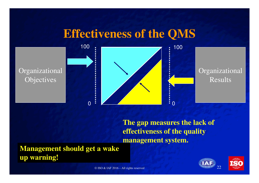#### **Effectiveness of the QMS**



**The gap measures the lack of effectiveness of the quality management system.**

**Management should get a wake up warning!**



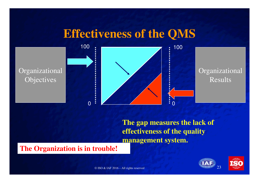#### **Effectiveness of the QMS**



**The gap measures the lack of effectiveness of the quality management system.**

#### **The Organization is in trouble!**



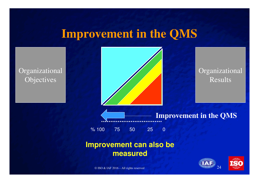#### **Improvement in the QMS**

OrganizationalObjectives



OrganizationalResults

**Improvement in the QMS**

% 100 75 50 25 0

#### **Improvement can also be measured**



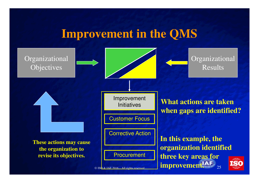#### **Improvement in the QMS**

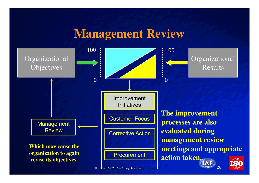#### **Management Review**

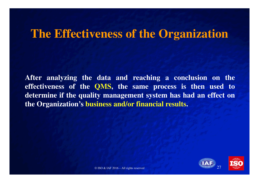#### **The Effectiveness of the Organization**

**After analyzing the data and reaching <sup>a</sup> conclusion on the effectiveness of the QMS, the same process is then used to determine if the quality management system has had an effect onthe Organization's business and/or financial results.**



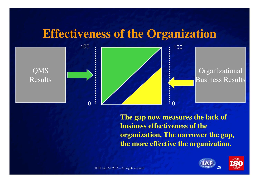#### **Effectiveness of the Organization**



**The gap now measures the lack of business effectiveness of the organization. The narrower the gap, the more effective the organization.**



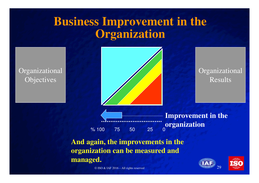#### **Business Improvement in the Organization**

OrganizationalObjectives



OrganizationalResults

% 100 75 50 25 0**Improvement in the organization**

**And again, the improvements in the organization can be measured and managed.**



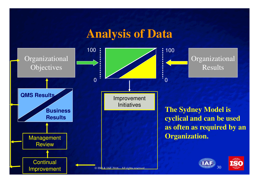#### **Analysis of Data**

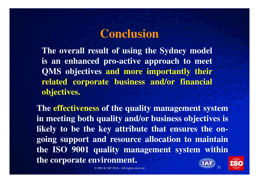#### **Conclusion**

**The overall result of using the Sydney modelis an enhanced pro-active approach to meetQMS objectives and more importantly their related corporate business and/or financialobjectives.**

**The effectiveness of the quality management systemin meeting both quality and/or business objectives islikely to be the key attribute that ensures the ongoing support and resource allocation to maintain the ISO 9001 quality management system withinthe corporate environment.**

d and  $\frac{s_{\ell_{\text{O}}}}{31}$